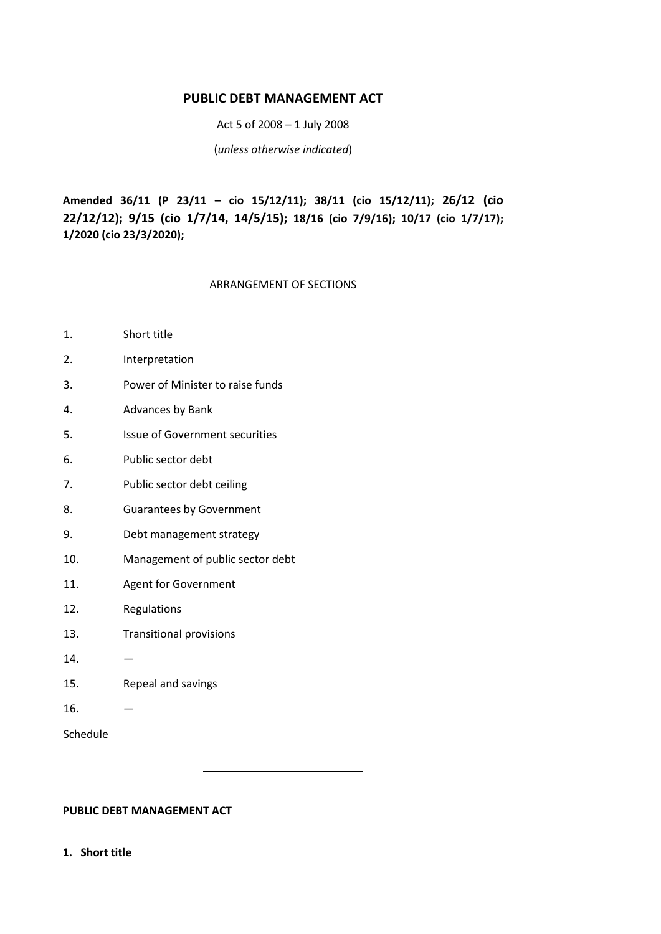# **PUBLIC DEBT MANAGEMENT ACT**

Act 5 of 2008 – 1 July 2008

(*unless otherwise indicated*)

**Amended 36/11 (P 23/11 – cio 15/12/11); 38/11 (cio 15/12/11); 26/12 (cio 22/12/12); 9/15 (cio 1/7/14, 14/5/15); 18/16 (cio 7/9/16); 10/17 (cio 1/7/17); 1/2020 (cio 23/3/2020);**

## ARRANGEMENT OF SECTIONS

- 1. Short title
- 2. Interpretation
- 3. Power of Minister to raise funds
- 4. Advances by Bank
- 5. Issue of Government securities
- 6. Public sector debt
- 7. Public sector debt ceiling
- 8. Guarantees by Government
- 9. Debt management strategy
- 10. Management of public sector debt
- 11. Agent for Government
- 12. Regulations
- 13. Transitional provisions
- 14. —
- 15. Repeal and savings
- $16.$   $-$

Schedule

**PUBLIC DEBT MANAGEMENT ACT**

**1. Short title**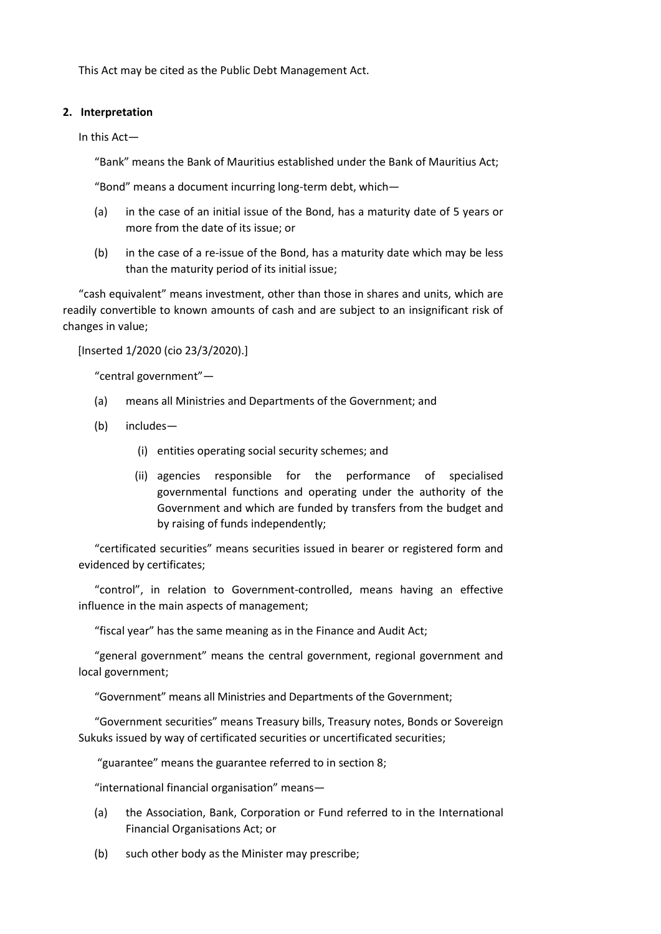This Act may be cited as the Public Debt Management Act.

### **2. Interpretation**

In this Act—

"Bank" means the Bank of Mauritius established under the Bank of Mauritius Act;

"Bond" means a document incurring long-term debt, which—

- (a) in the case of an initial issue of the Bond, has a maturity date of 5 years or more from the date of its issue; or
- (b) in the case of a re-issue of the Bond, has a maturity date which may be less than the maturity period of its initial issue;

"cash equivalent" means investment, other than those in shares and units, which are readily convertible to known amounts of cash and are subject to an insignificant risk of changes in value;

[Inserted 1/2020 (cio 23/3/2020).]

"central government"—

- (a) means all Ministries and Departments of the Government; and
- (b) includes—
	- (i) entities operating social security schemes; and
	- (ii) agencies responsible for the performance of specialised governmental functions and operating under the authority of the Government and which are funded by transfers from the budget and by raising of funds independently;

"certificated securities" means securities issued in bearer or registered form and evidenced by certificates;

"control", in relation to Government-controlled, means having an effective influence in the main aspects of management;

"fiscal year" has the same meaning as in the Finance and Audit Act;

"general government" means the central government, regional government and local government;

"Government" means all Ministries and Departments of the Government;

"Government securities" means Treasury bills, Treasury notes, Bonds or Sovereign Sukuks issued by way of certificated securities or uncertificated securities;

"guarantee" means the guarantee referred to in section 8;

"international financial organisation" means—

- (a) the Association, Bank, Corporation or Fund referred to in the International Financial Organisations Act; or
- (b) such other body as the Minister may prescribe;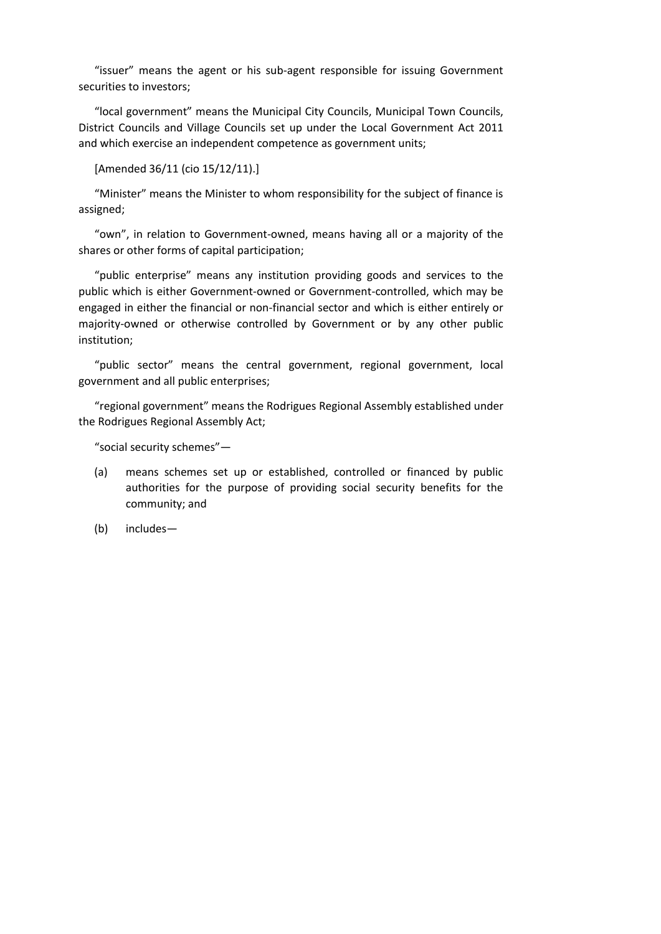"issuer" means the agent or his sub-agent responsible for issuing Government securities to investors;

"local government" means the Municipal City Councils, Municipal Town Councils, District Councils and Village Councils set up under the Local Government Act 2011 and which exercise an independent competence as government units;

```
[Amended 36/11 (cio 15/12/11).]
```
"Minister" means the Minister to whom responsibility for the subject of finance is assigned;

"own", in relation to Government-owned, means having all or a majority of the shares or other forms of capital participation;

"public enterprise" means any institution providing goods and services to the public which is either Government-owned or Government-controlled, which may be engaged in either the financial or non-financial sector and which is either entirely or majority-owned or otherwise controlled by Government or by any other public institution;

"public sector" means the central government, regional government, local government and all public enterprises;

"regional government" means the Rodrigues Regional Assembly established under the Rodrigues Regional Assembly Act;

"social security schemes"—

- (a) means schemes set up or established, controlled or financed by public authorities for the purpose of providing social security benefits for the community; and
- (b) includes—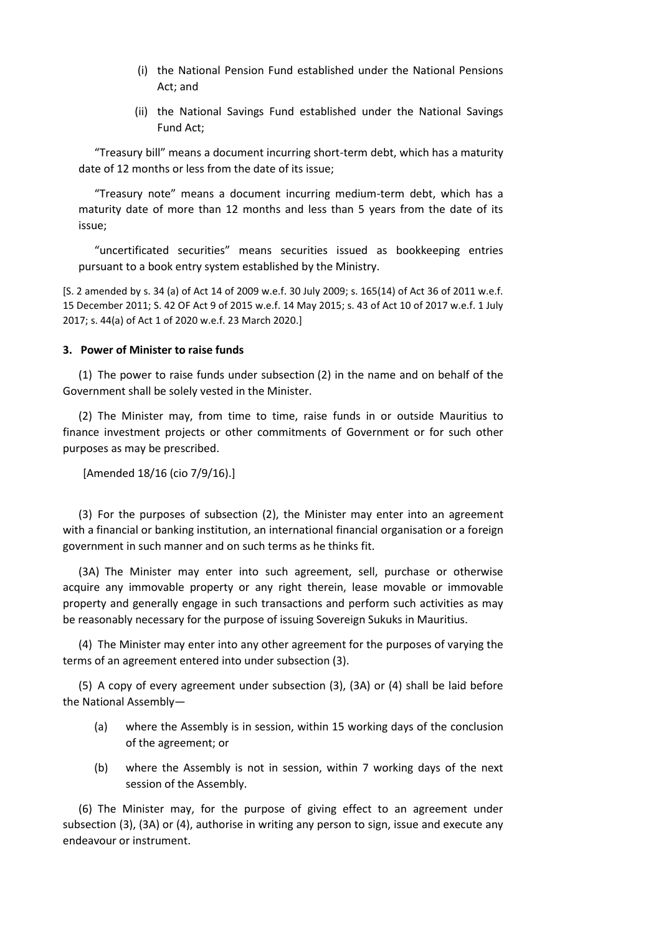- (i) the National Pension Fund established under the National Pensions Act; and
- (ii) the National Savings Fund established under the National Savings Fund Act;

"Treasury bill" means a document incurring short-term debt, which has a maturity date of 12 months or less from the date of its issue;

"Treasury note" means a document incurring medium-term debt, which has a maturity date of more than 12 months and less than 5 years from the date of its issue;

"uncertificated securities" means securities issued as bookkeeping entries pursuant to a book entry system established by the Ministry.

[S. 2 amended by s. 34 (a) of Act 14 of 2009 w.e.f. 30 July 2009; s. 165(14) of Act 36 of 2011 w.e.f. 15 December 2011; S. 42 OF Act 9 of 2015 w.e.f. 14 May 2015; s. 43 of Act 10 of 2017 w.e.f. 1 July 2017; s. 44(a) of Act 1 of 2020 w.e.f. 23 March 2020.]

#### **3. Power of Minister to raise funds**

(1) The power to raise funds under subsection (2) in the name and on behalf of the Government shall be solely vested in the Minister.

(2) The Minister may, from time to time, raise funds in or outside Mauritius to finance investment projects or other commitments of Government or for such other purposes as may be prescribed.

[Amended 18/16 (cio 7/9/16).]

(3) For the purposes of subsection (2), the Minister may enter into an agreement with a financial or banking institution, an international financial organisation or a foreign government in such manner and on such terms as he thinks fit.

(3A) The Minister may enter into such agreement, sell, purchase or otherwise acquire any immovable property or any right therein, lease movable or immovable property and generally engage in such transactions and perform such activities as may be reasonably necessary for the purpose of issuing Sovereign Sukuks in Mauritius.

(4) The Minister may enter into any other agreement for the purposes of varying the terms of an agreement entered into under subsection (3).

(5) A copy of every agreement under subsection (3), (3A) or (4) shall be laid before the National Assembly—

- (a) where the Assembly is in session, within 15 working days of the conclusion of the agreement; or
- (b) where the Assembly is not in session, within 7 working days of the next session of the Assembly.

(6) The Minister may, for the purpose of giving effect to an agreement under subsection (3), (3A) or (4), authorise in writing any person to sign, issue and execute any endeavour or instrument.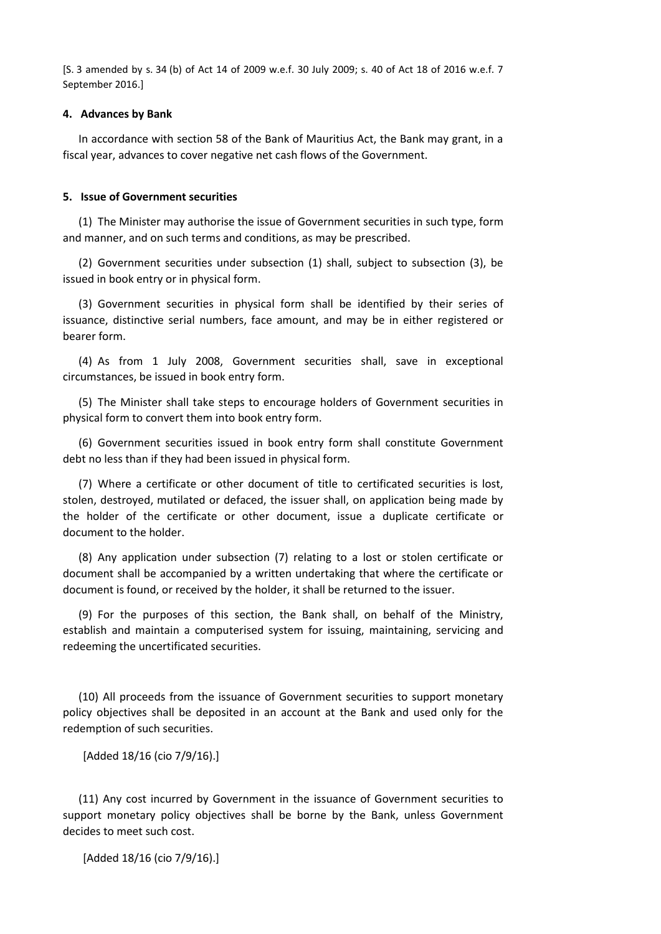[S. 3 amended by s. 34 (b) of Act 14 of 2009 w.e.f. 30 July 2009; s. 40 of Act 18 of 2016 w.e.f. 7 September 2016.]

#### **4. Advances by Bank**

In accordance with section 58 of the Bank of Mauritius Act, the Bank may grant, in a fiscal year, advances to cover negative net cash flows of the Government.

#### **5. Issue of Government securities**

(1) The Minister may authorise the issue of Government securities in such type, form and manner, and on such terms and conditions, as may be prescribed.

(2) Government securities under subsection (1) shall, subject to subsection (3), be issued in book entry or in physical form.

(3) Government securities in physical form shall be identified by their series of issuance, distinctive serial numbers, face amount, and may be in either registered or bearer form.

(4) As from 1 July 2008, Government securities shall, save in exceptional circumstances, be issued in book entry form.

(5) The Minister shall take steps to encourage holders of Government securities in physical form to convert them into book entry form.

(6) Government securities issued in book entry form shall constitute Government debt no less than if they had been issued in physical form.

(7) Where a certificate or other document of title to certificated securities is lost, stolen, destroyed, mutilated or defaced, the issuer shall, on application being made by the holder of the certificate or other document, issue a duplicate certificate or document to the holder.

(8) Any application under subsection (7) relating to a lost or stolen certificate or document shall be accompanied by a written undertaking that where the certificate or document is found, or received by the holder, it shall be returned to the issuer.

(9) For the purposes of this section, the Bank shall, on behalf of the Ministry, establish and maintain a computerised system for issuing, maintaining, servicing and redeeming the uncertificated securities.

(10) All proceeds from the issuance of Government securities to support monetary policy objectives shall be deposited in an account at the Bank and used only for the redemption of such securities.

[Added 18/16 (cio 7/9/16).]

(11) Any cost incurred by Government in the issuance of Government securities to support monetary policy objectives shall be borne by the Bank, unless Government decides to meet such cost.

[Added 18/16 (cio 7/9/16).]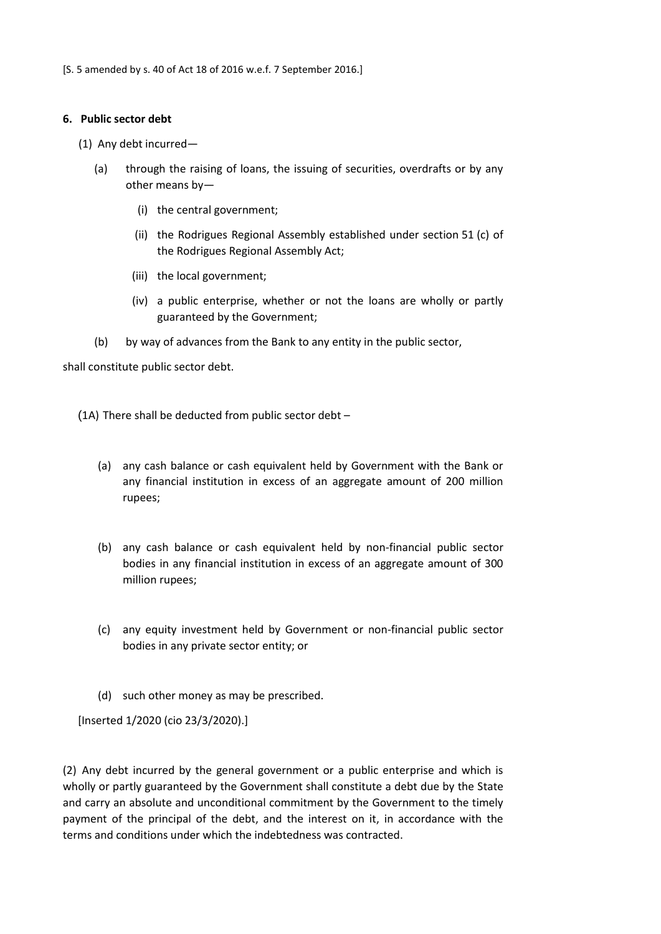#### **6. Public sector debt**

- (1) Any debt incurred—
	- (a) through the raising of loans, the issuing of securities, overdrafts or by any other means by—
		- (i) the central government;
		- (ii) the Rodrigues Regional Assembly established under section 51 (c) of the Rodrigues Regional Assembly Act;
		- (iii) the local government;
		- (iv) a public enterprise, whether or not the loans are wholly or partly guaranteed by the Government;
	- (b) by way of advances from the Bank to any entity in the public sector,

shall constitute public sector debt.

(1A) There shall be deducted from public sector debt –

- (a) any cash balance or cash equivalent held by Government with the Bank or any financial institution in excess of an aggregate amount of 200 million rupees;
- (b) any cash balance or cash equivalent held by non-financial public sector bodies in any financial institution in excess of an aggregate amount of 300 million rupees;
- (c) any equity investment held by Government or non-financial public sector bodies in any private sector entity; or
- (d) such other money as may be prescribed.

[Inserted 1/2020 (cio 23/3/2020).]

(2) Any debt incurred by the general government or a public enterprise and which is wholly or partly guaranteed by the Government shall constitute a debt due by the State and carry an absolute and unconditional commitment by the Government to the timely payment of the principal of the debt, and the interest on it, in accordance with the terms and conditions under which the indebtedness was contracted.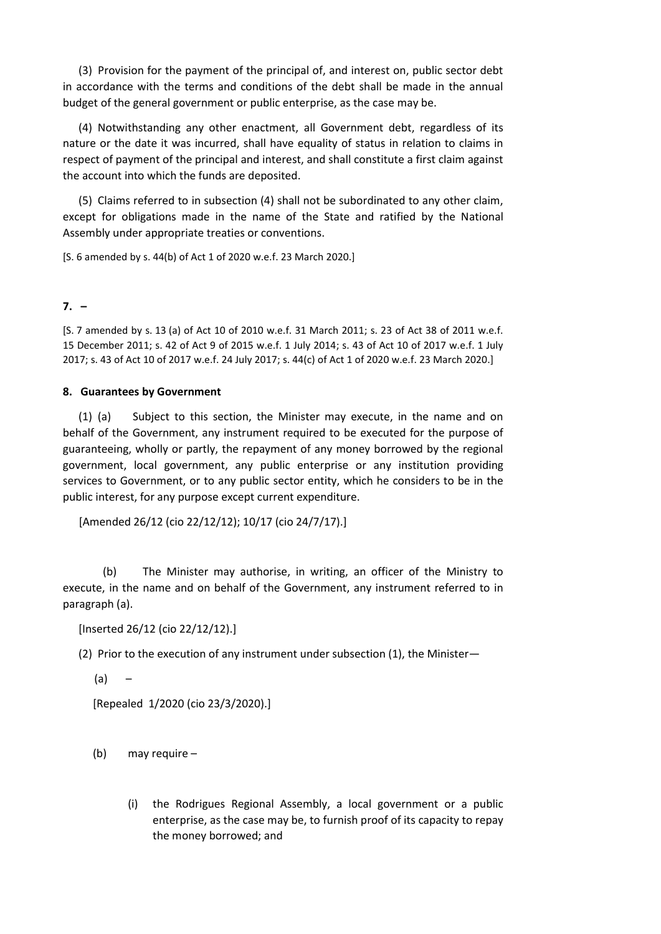(3) Provision for the payment of the principal of, and interest on, public sector debt in accordance with the terms and conditions of the debt shall be made in the annual budget of the general government or public enterprise, as the case may be.

(4) Notwithstanding any other enactment, all Government debt, regardless of its nature or the date it was incurred, shall have equality of status in relation to claims in respect of payment of the principal and interest, and shall constitute a first claim against the account into which the funds are deposited.

(5) Claims referred to in subsection (4) shall not be subordinated to any other claim, except for obligations made in the name of the State and ratified by the National Assembly under appropriate treaties or conventions.

[S. 6 amended by s. 44(b) of Act 1 of 2020 w.e.f. 23 March 2020.]

# **7. –**

[S. 7 amended by s. 13 (a) of Act 10 of 2010 w.e.f. 31 March 2011; s. 23 of Act 38 of 2011 w.e.f. 15 December 2011; s. 42 of Act 9 of 2015 w.e.f. 1 July 2014; s. 43 of Act 10 of 2017 w.e.f. 1 July 2017; s. 43 of Act 10 of 2017 w.e.f. 24 July 2017; s. 44(c) of Act 1 of 2020 w.e.f. 23 March 2020.]

## **8. Guarantees by Government**

(1) (a) Subject to this section, the Minister may execute, in the name and on behalf of the Government, any instrument required to be executed for the purpose of guaranteeing, wholly or partly, the repayment of any money borrowed by the regional government, local government, any public enterprise or any institution providing services to Government, or to any public sector entity, which he considers to be in the public interest, for any purpose except current expenditure.

[Amended 26/12 (cio 22/12/12); 10/17 (cio 24/7/17).]

(b) The Minister may authorise, in writing, an officer of the Ministry to execute, in the name and on behalf of the Government, any instrument referred to in paragraph (a).

[Inserted 26/12 (cio 22/12/12).]

(2) Prior to the execution of any instrument under subsection (1), the Minister—

 $(a)$  –

[Repealed 1/2020 (cio 23/3/2020).]

- (b) may require
	- (i) the Rodrigues Regional Assembly, a local government or a public enterprise, as the case may be, to furnish proof of its capacity to repay the money borrowed; and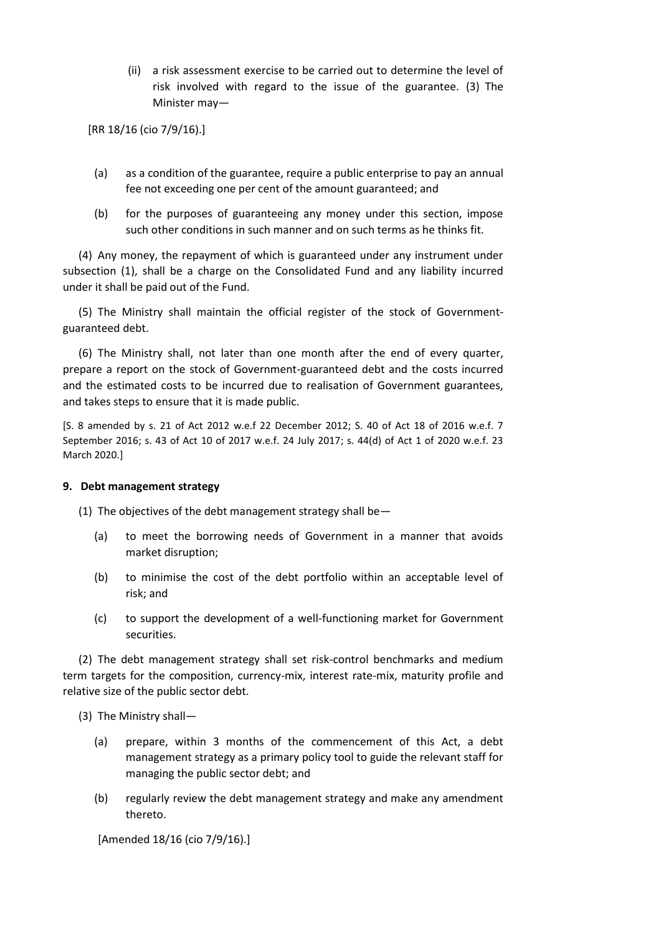(ii) a risk assessment exercise to be carried out to determine the level of risk involved with regard to the issue of the guarantee. (3) The Minister may—

[RR 18/16 (cio 7/9/16).]

- (a) as a condition of the guarantee, require a public enterprise to pay an annual fee not exceeding one per cent of the amount guaranteed; and
- (b) for the purposes of guaranteeing any money under this section, impose such other conditions in such manner and on such terms as he thinks fit.

(4) Any money, the repayment of which is guaranteed under any instrument under subsection (1), shall be a charge on the Consolidated Fund and any liability incurred under it shall be paid out of the Fund.

(5) The Ministry shall maintain the official register of the stock of Governmentguaranteed debt.

(6) The Ministry shall, not later than one month after the end of every quarter, prepare a report on the stock of Government-guaranteed debt and the costs incurred and the estimated costs to be incurred due to realisation of Government guarantees, and takes steps to ensure that it is made public.

[S. 8 amended by s. 21 of Act 2012 w.e.f 22 December 2012; S. 40 of Act 18 of 2016 w.e.f. 7 September 2016; s. 43 of Act 10 of 2017 w.e.f. 24 July 2017; s. 44(d) of Act 1 of 2020 w.e.f. 23 March 2020.]

#### **9. Debt management strategy**

(1) The objectives of the debt management strategy shall be—

- (a) to meet the borrowing needs of Government in a manner that avoids market disruption;
- (b) to minimise the cost of the debt portfolio within an acceptable level of risk; and
- (c) to support the development of a well-functioning market for Government securities.

(2) The debt management strategy shall set risk-control benchmarks and medium term targets for the composition, currency-mix, interest rate-mix, maturity profile and relative size of the public sector debt.

(3) The Ministry shall—

- (a) prepare, within 3 months of the commencement of this Act, a debt management strategy as a primary policy tool to guide the relevant staff for managing the public sector debt; and
- (b) regularly review the debt management strategy and make any amendment thereto.

[Amended 18/16 (cio 7/9/16).]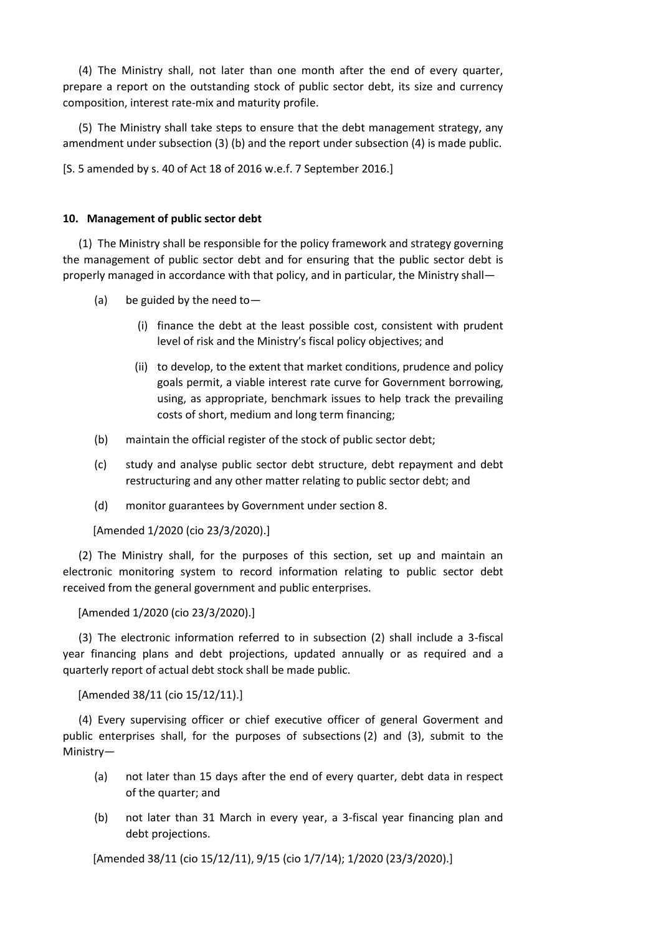(4) The Ministry shall, not later than one month after the end of every quarter, prepare a report on the outstanding stock of public sector debt, its size and currency composition, interest rate-mix and maturity profile.

(5) The Ministry shall take steps to ensure that the debt management strategy, any amendment under subsection (3) (b) and the report under subsection (4) is made public.

[S. 5 amended by s. 40 of Act 18 of 2016 w.e.f. 7 September 2016.]

### **10. Management of public sector debt**

(1) The Ministry shall be responsible for the policy framework and strategy governing the management of public sector debt and for ensuring that the public sector debt is properly managed in accordance with that policy, and in particular, the Ministry shall—

- (a) be guided by the need to—
	- (i) finance the debt at the least possible cost, consistent with prudent level of risk and the Ministry's fiscal policy objectives; and
	- (ii) to develop, to the extent that market conditions, prudence and policy goals permit, a viable interest rate curve for Government borrowing, using, as appropriate, benchmark issues to help track the prevailing costs of short, medium and long term financing;
- (b) maintain the official register of the stock of public sector debt;
- (c) study and analyse public sector debt structure, debt repayment and debt restructuring and any other matter relating to public sector debt; and
- (d) monitor guarantees by Government under section 8.

[Amended 1/2020 (cio 23/3/2020).]

(2) The Ministry shall, for the purposes of this section, set up and maintain an electronic monitoring system to record information relating to public sector debt received from the general government and public enterprises.

[Amended 1/2020 (cio 23/3/2020).]

(3) The electronic information referred to in subsection (2) shall include a 3-fiscal year financing plans and debt projections, updated annually or as required and a quarterly report of actual debt stock shall be made public.

[Amended 38/11 (cio 15/12/11).]

(4) Every supervising officer or chief executive officer of general Goverment and public enterprises shall, for the purposes of subsections (2) and (3), submit to the Ministry—

- (a) not later than 15 days after the end of every quarter, debt data in respect of the quarter; and
- (b) not later than 31 March in every year, a 3-fiscal year financing plan and debt projections.

[Amended 38/11 (cio 15/12/11), 9/15 (cio 1/7/14); 1/2020 (23/3/2020).]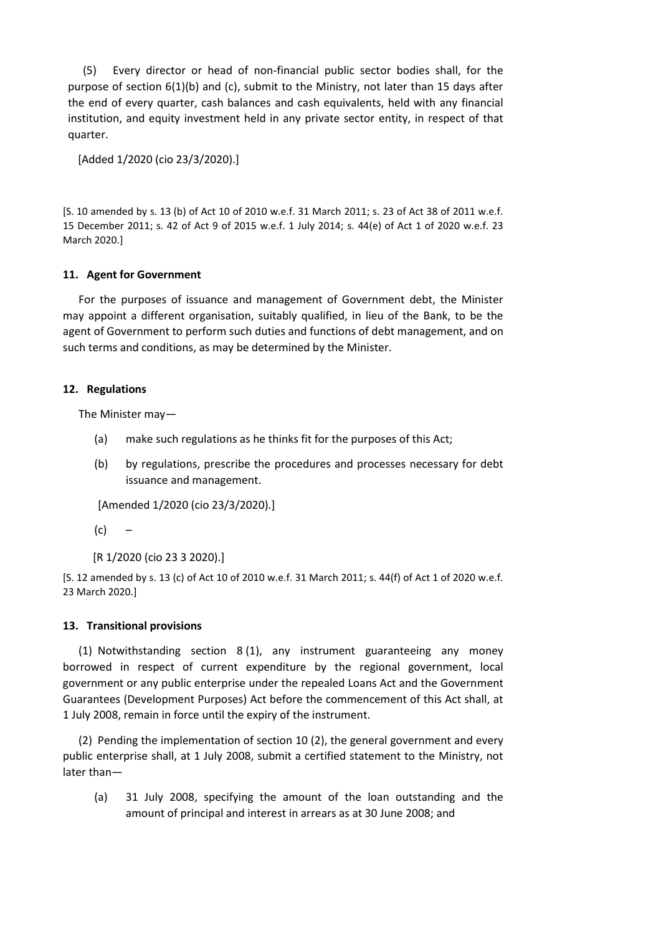(5) Every director or head of non-financial public sector bodies shall, for the purpose of section 6(1)(b) and (c), submit to the Ministry, not later than 15 days after the end of every quarter, cash balances and cash equivalents, held with any financial institution, and equity investment held in any private sector entity, in respect of that quarter.

[Added 1/2020 (cio 23/3/2020).]

[S. 10 amended by s. 13 (b) of Act 10 of 2010 w.e.f. 31 March 2011; s. 23 of Act 38 of 2011 w.e.f. 15 December 2011; s. 42 of Act 9 of 2015 w.e.f. 1 July 2014; s. 44(e) of Act 1 of 2020 w.e.f. 23 March 2020.]

# **11. Agent for Government**

For the purposes of issuance and management of Government debt, the Minister may appoint a different organisation, suitably qualified, in lieu of the Bank, to be the agent of Government to perform such duties and functions of debt management, and on such terms and conditions, as may be determined by the Minister.

# **12. Regulations**

The Minister may—

- (a) make such regulations as he thinks fit for the purposes of this Act;
- (b) by regulations, prescribe the procedures and processes necessary for debt issuance and management.

```
[Amended 1/2020 (cio 23/3/2020).]
```
 $(c)$  –

```
[R 1/2020 (cio 23 3 2020).]
```
[S. 12 amended by s. 13 (c) of Act 10 of 2010 w.e.f. 31 March 2011; s. 44(f) of Act 1 of 2020 w.e.f. 23 March 2020.]

# **13. Transitional provisions**

(1) Notwithstanding section 8 (1), any instrument guaranteeing any money borrowed in respect of current expenditure by the regional government, local government or any public enterprise under the repealed Loans Act and the Government Guarantees (Development Purposes) Act before the commencement of this Act shall, at 1 July 2008, remain in force until the expiry of the instrument.

(2) Pending the implementation of section 10 (2), the general government and every public enterprise shall, at 1 July 2008, submit a certified statement to the Ministry, not later than—

(a) 31 July 2008, specifying the amount of the loan outstanding and the amount of principal and interest in arrears as at 30 June 2008; and